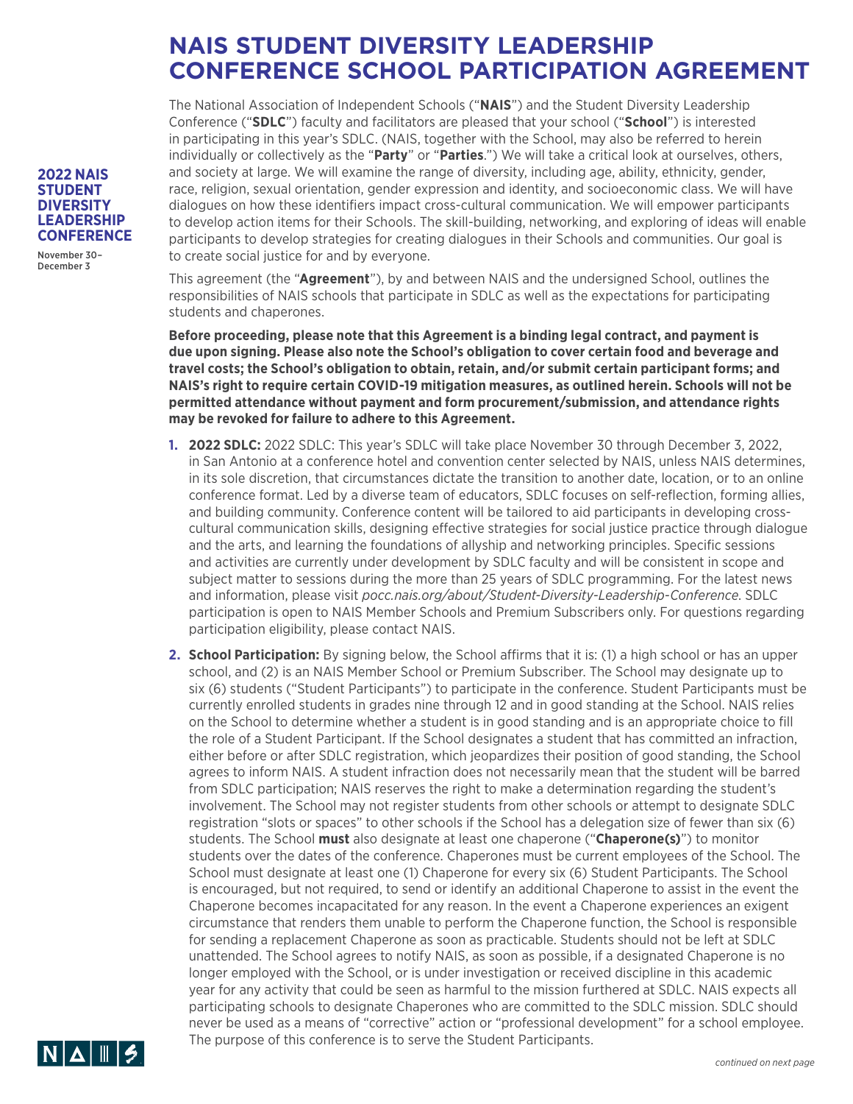The National Association of Independent Schools ("**NAIS**") and the Student Diversity Leadership Conference ("**SDLC**") faculty and facilitators are pleased that your school ("**School**") is interested in participating in this year's SDLC. (NAIS, together with the School, may also be referred to herein individually or collectively as the "**Party**" or "**Parties**.") We will take a critical look at ourselves, others, and society at large. We will examine the range of diversity, including age, ability, ethnicity, gender, race, religion, sexual orientation, gender expression and identity, and socioeconomic class. We will have dialogues on how these identifiers impact cross-cultural communication. We will empower participants to develop action items for their Schools. The skill-building, networking, and exploring of ideas will enable participants to develop strategies for creating dialogues in their Schools and communities. Our goal is to create social justice for and by everyone.

This agreement (the "**Agreement**"), by and between NAIS and the undersigned School, outlines the responsibilities of NAIS schools that participate in SDLC as well as the expectations for participating students and chaperones.

**Before proceeding, please note that this Agreement is a binding legal contract, and payment is due upon signing. Please also note the School's obligation to cover certain food and beverage and travel costs; the School's obligation to obtain, retain, and/or submit certain participant forms; and NAIS's right to require certain COVID-19 mitigation measures, as outlined herein. Schools will not be permitted attendance without payment and form procurement/submission, and attendance rights may be revoked for failure to adhere to this Agreement.**

- **1. 2022 SDLC:** 2022 SDLC: This year's SDLC will take place November 30 through December 3, 2022, in San Antonio at a conference hotel and convention center selected by NAIS, unless NAIS determines, in its sole discretion, that circumstances dictate the transition to another date, location, or to an online conference format. Led by a diverse team of educators, SDLC focuses on self-reflection, forming allies, and building community. Conference content will be tailored to aid participants in developing crosscultural communication skills, designing effective strategies for social justice practice through dialogue and the arts, and learning the foundations of allyship and networking principles. Specific sessions and activities are currently under development by SDLC faculty and will be consistent in scope and subject matter to sessions during the more than 25 years of SDLC programming. For the latest news and information, please visit *pocc.nais.org/about/Student-Diversity-Leadership-Conference*. SDLC participation is open to NAIS Member Schools and Premium Subscribers only. For questions regarding participation eligibility, please contact NAIS.
- **2. School Participation:** By signing below, the School affirms that it is: (1) a high school or has an upper school, and (2) is an NAIS Member School or Premium Subscriber. The School may designate up to six (6) students ("Student Participants") to participate in the conference. Student Participants must be currently enrolled students in grades nine through 12 and in good standing at the School. NAIS relies on the School to determine whether a student is in good standing and is an appropriate choice to fill the role of a Student Participant. If the School designates a student that has committed an infraction, either before or after SDLC registration, which jeopardizes their position of good standing, the School agrees to inform NAIS. A student infraction does not necessarily mean that the student will be barred from SDLC participation; NAIS reserves the right to make a determination regarding the student's involvement. The School may not register students from other schools or attempt to designate SDLC registration "slots or spaces" to other schools if the School has a delegation size of fewer than six (6) students. The School **must** also designate at least one chaperone ("**Chaperone(s)**") to monitor students over the dates of the conference. Chaperones must be current employees of the School. The School must designate at least one (1) Chaperone for every six (6) Student Participants. The School is encouraged, but not required, to send or identify an additional Chaperone to assist in the event the Chaperone becomes incapacitated for any reason. In the event a Chaperone experiences an exigent circumstance that renders them unable to perform the Chaperone function, the School is responsible for sending a replacement Chaperone as soon as practicable. Students should not be left at SDLC unattended. The School agrees to notify NAIS, as soon as possible, if a designated Chaperone is no longer employed with the School, or is under investigation or received discipline in this academic year for any activity that could be seen as harmful to the mission furthered at SDLC. NAIS expects all participating schools to designate Chaperones who are committed to the SDLC mission. SDLC should never be used as a means of "corrective" action or "professional development" for a school employee. The purpose of this conference is to serve the Student Participants.



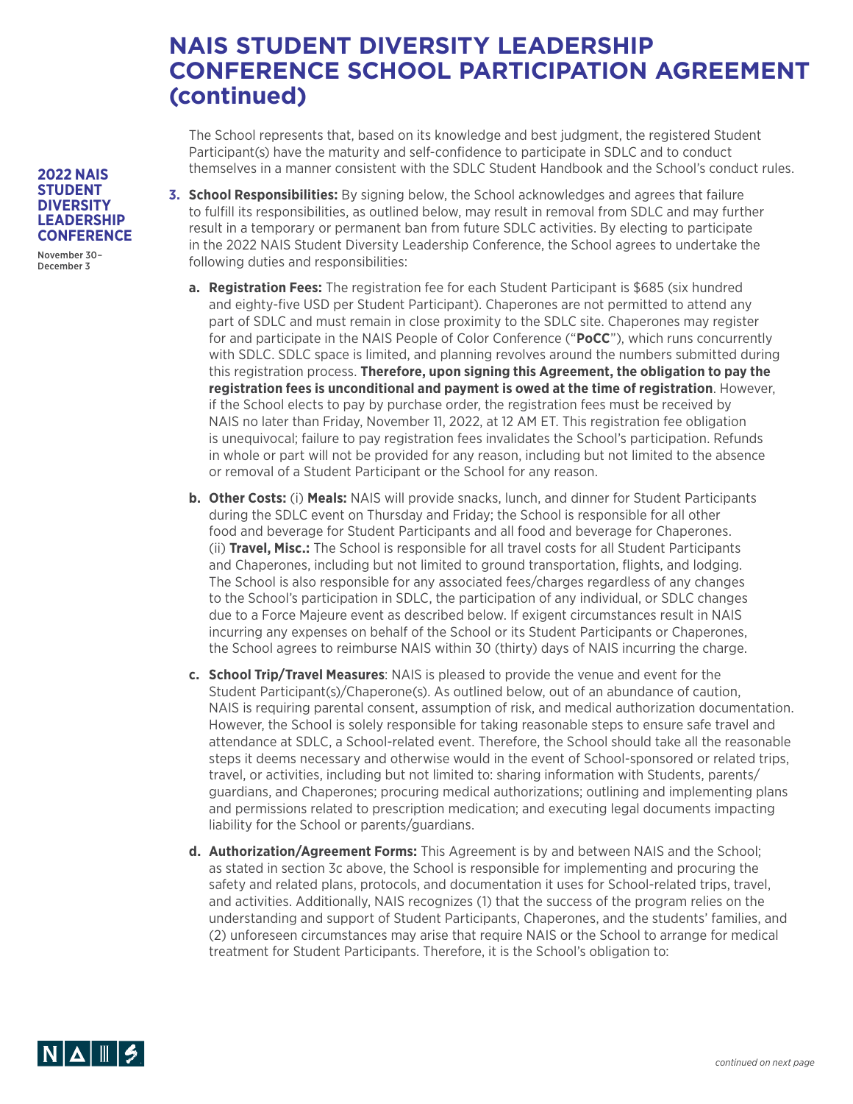The School represents that, based on its knowledge and best judgment, the registered Student Participant(s) have the maturity and self-confidence to participate in SDLC and to conduct themselves in a manner consistent with the SDLC Student Handbook and the School's conduct rules.

- **3. School Responsibilities:** By signing below, the School acknowledges and agrees that failure to fulfill its responsibilities, as outlined below, may result in removal from SDLC and may further result in a temporary or permanent ban from future SDLC activities. By electing to participate in the 2022 NAIS Student Diversity Leadership Conference, the School agrees to undertake the following duties and responsibilities:
	- **a. Registration Fees:** The registration fee for each Student Participant is \$685 (six hundred and eighty-five USD per Student Participant). Chaperones are not permitted to attend any part of SDLC and must remain in close proximity to the SDLC site. Chaperones may register for and participate in the NAIS People of Color Conference ("**PoCC**"), which runs concurrently with SDLC. SDLC space is limited, and planning revolves around the numbers submitted during this registration process. **Therefore, upon signing this Agreement, the obligation to pay the registration fees is unconditional and payment is owed at the time of registration**. However, if the School elects to pay by purchase order, the registration fees must be received by NAIS no later than Friday, November 11, 2022, at 12 AM ET. This registration fee obligation is unequivocal; failure to pay registration fees invalidates the School's participation. Refunds in whole or part will not be provided for any reason, including but not limited to the absence or removal of a Student Participant or the School for any reason.
	- **b. Other Costs:** (i) **Meals:** NAIS will provide snacks, lunch, and dinner for Student Participants during the SDLC event on Thursday and Friday; the School is responsible for all other food and beverage for Student Participants and all food and beverage for Chaperones. (ii) **Travel, Misc.:** The School is responsible for all travel costs for all Student Participants and Chaperones, including but not limited to ground transportation, flights, and lodging. The School is also responsible for any associated fees/charges regardless of any changes to the School's participation in SDLC, the participation of any individual, or SDLC changes due to a Force Majeure event as described below. If exigent circumstances result in NAIS incurring any expenses on behalf of the School or its Student Participants or Chaperones, the School agrees to reimburse NAIS within 30 (thirty) days of NAIS incurring the charge.
	- **c. School Trip/Travel Measures**: NAIS is pleased to provide the venue and event for the Student Participant(s)/Chaperone(s). As outlined below, out of an abundance of caution, NAIS is requiring parental consent, assumption of risk, and medical authorization documentation. However, the School is solely responsible for taking reasonable steps to ensure safe travel and attendance at SDLC, a School-related event. Therefore, the School should take all the reasonable steps it deems necessary and otherwise would in the event of School-sponsored or related trips, travel, or activities, including but not limited to: sharing information with Students, parents/ guardians, and Chaperones; procuring medical authorizations; outlining and implementing plans and permissions related to prescription medication; and executing legal documents impacting liability for the School or parents/guardians.
	- **d. Authorization/Agreement Forms:** This Agreement is by and between NAIS and the School; as stated in section 3c above, the School is responsible for implementing and procuring the safety and related plans, protocols, and documentation it uses for School-related trips, travel, and activities. Additionally, NAIS recognizes (1) that the success of the program relies on the understanding and support of Student Participants, Chaperones, and the students' families, and (2) unforeseen circumstances may arise that require NAIS or the School to arrange for medical treatment for Student Participants. Therefore, it is the School's obligation to:



#### **2022 NAIS STUDENT DIVERSITY LEADERSHIP CONFERENCE**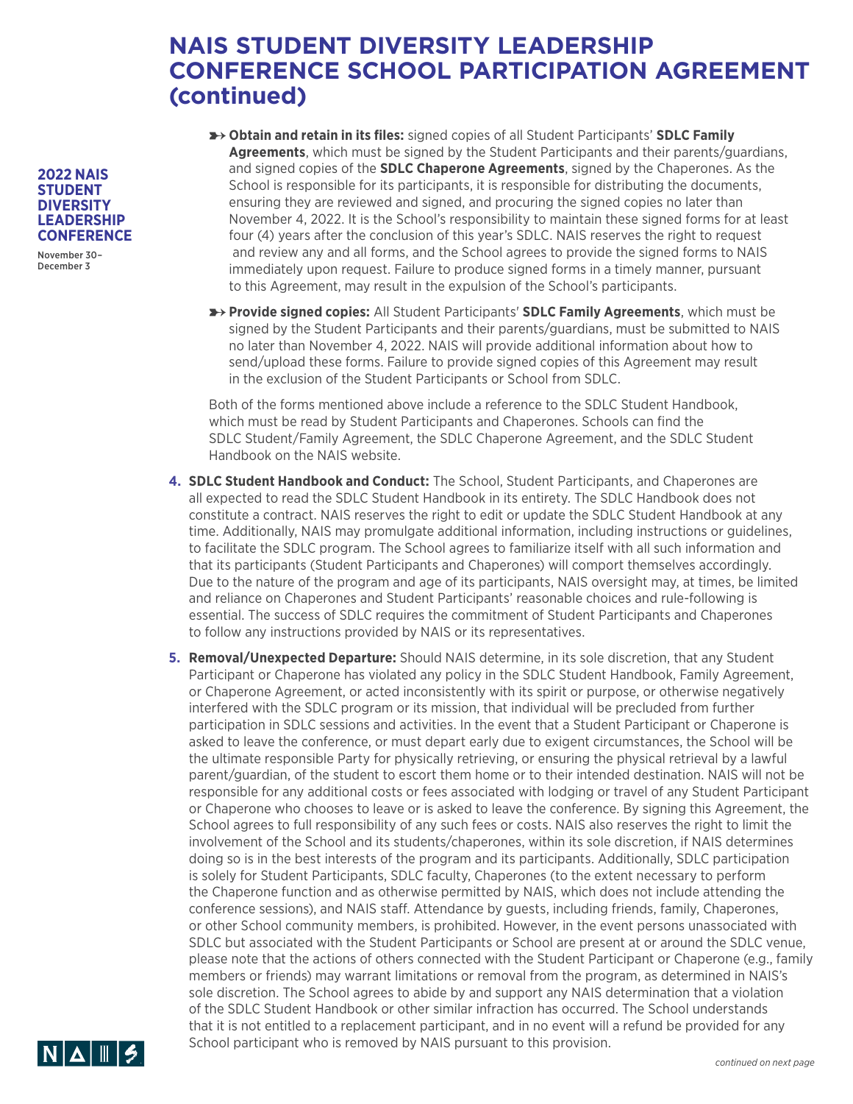➸**Obtain and retain in its files:** signed copies of all Student Participants' **SDLC Family Agreements**, which must be signed by the Student Participants and their parents/guardians, and signed copies of the **SDLC Chaperone Agreements**, signed by the Chaperones. As the School is responsible for its participants, it is responsible for distributing the documents, ensuring they are reviewed and signed, and procuring the signed copies no later than November 4, 2022. It is the School's responsibility to maintain these signed forms for at least four (4) years after the conclusion of this year's SDLC. NAIS reserves the right to request and review any and all forms, and the School agrees to provide the signed forms to NAIS immediately upon request. Failure to produce signed forms in a timely manner, pursuant to this Agreement, may result in the expulsion of the School's participants.

➸**Provide signed copies:** All Student Participants' **SDLC Family Agreements**, which must be signed by the Student Participants and their parents/guardians, must be submitted to NAIS no later than November 4, 2022. NAIS will provide additional information about how to send/upload these forms. Failure to provide signed copies of this Agreement may result in the exclusion of the Student Participants or School from SDLC.

Both of the forms mentioned above include a reference to the SDLC Student Handbook, which must be read by Student Participants and Chaperones. Schools can find the SDLC Student/Family Agreement, the SDLC Chaperone Agreement, and the SDLC Student Handbook on the NAIS website.

- **4. SDLC Student Handbook and Conduct:** The School, Student Participants, and Chaperones are all expected to read the SDLC Student Handbook in its entirety. The SDLC Handbook does not constitute a contract. NAIS reserves the right to edit or update the SDLC Student Handbook at any time. Additionally, NAIS may promulgate additional information, including instructions or guidelines, to facilitate the SDLC program. The School agrees to familiarize itself with all such information and that its participants (Student Participants and Chaperones) will comport themselves accordingly. Due to the nature of the program and age of its participants, NAIS oversight may, at times, be limited and reliance on Chaperones and Student Participants' reasonable choices and rule-following is essential. The success of SDLC requires the commitment of Student Participants and Chaperones to follow any instructions provided by NAIS or its representatives.
- **5. Removal/Unexpected Departure:** Should NAIS determine, in its sole discretion, that any Student Participant or Chaperone has violated any policy in the SDLC Student Handbook, Family Agreement, or Chaperone Agreement, or acted inconsistently with its spirit or purpose, or otherwise negatively interfered with the SDLC program or its mission, that individual will be precluded from further participation in SDLC sessions and activities. In the event that a Student Participant or Chaperone is asked to leave the conference, or must depart early due to exigent circumstances, the School will be the ultimate responsible Party for physically retrieving, or ensuring the physical retrieval by a lawful parent/guardian, of the student to escort them home or to their intended destination. NAIS will not be responsible for any additional costs or fees associated with lodging or travel of any Student Participant or Chaperone who chooses to leave or is asked to leave the conference. By signing this Agreement, the School agrees to full responsibility of any such fees or costs. NAIS also reserves the right to limit the involvement of the School and its students/chaperones, within its sole discretion, if NAIS determines doing so is in the best interests of the program and its participants. Additionally, SDLC participation is solely for Student Participants, SDLC faculty, Chaperones (to the extent necessary to perform the Chaperone function and as otherwise permitted by NAIS, which does not include attending the conference sessions), and NAIS staff. Attendance by guests, including friends, family, Chaperones, or other School community members, is prohibited. However, in the event persons unassociated with SDLC but associated with the Student Participants or School are present at or around the SDLC venue, please note that the actions of others connected with the Student Participant or Chaperone (e.g., family members or friends) may warrant limitations or removal from the program, as determined in NAIS's sole discretion. The School agrees to abide by and support any NAIS determination that a violation of the SDLC Student Handbook or other similar infraction has occurred. The School understands that it is not entitled to a replacement participant, and in no event will a refund be provided for any School participant who is removed by NAIS pursuant to this provision.



**2022 NAIS STUDENT DIVERSITY LEADERSHIP CONFERENCE**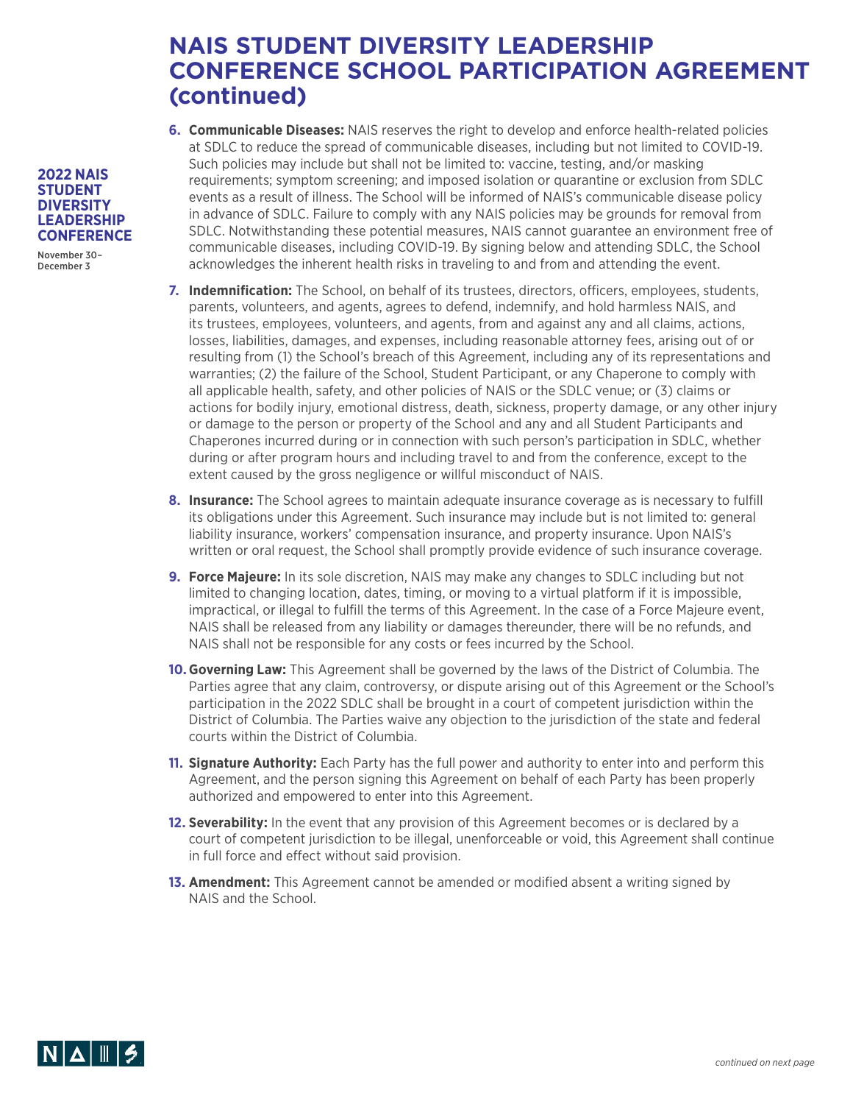- **6. Communicable Diseases:** NAIS reserves the right to develop and enforce health-related policies at SDLC to reduce the spread of communicable diseases, including but not limited to COVID-19. Such policies may include but shall not be limited to: vaccine, testing, and/or masking requirements; symptom screening; and imposed isolation or quarantine or exclusion from SDLC events as a result of illness. The School will be informed of NAIS's communicable disease policy in advance of SDLC. Failure to comply with any NAIS policies may be grounds for removal from SDLC. Notwithstanding these potential measures, NAIS cannot guarantee an environment free of communicable diseases, including COVID-19. By signing below and attending SDLC, the School acknowledges the inherent health risks in traveling to and from and attending the event.
- **7. Indemnification:** The School, on behalf of its trustees, directors, officers, employees, students, parents, volunteers, and agents, agrees to defend, indemnify, and hold harmless NAIS, and its trustees, employees, volunteers, and agents, from and against any and all claims, actions, losses, liabilities, damages, and expenses, including reasonable attorney fees, arising out of or resulting from (1) the School's breach of this Agreement, including any of its representations and warranties; (2) the failure of the School, Student Participant, or any Chaperone to comply with all applicable health, safety, and other policies of NAIS or the SDLC venue; or (3) claims or actions for bodily injury, emotional distress, death, sickness, property damage, or any other injury or damage to the person or property of the School and any and all Student Participants and Chaperones incurred during or in connection with such person's participation in SDLC, whether during or after program hours and including travel to and from the conference, except to the extent caused by the gross negligence or willful misconduct of NAIS.
- **8. Insurance:** The School agrees to maintain adequate insurance coverage as is necessary to fulfill its obligations under this Agreement. Such insurance may include but is not limited to: general liability insurance, workers' compensation insurance, and property insurance. Upon NAIS's written or oral request, the School shall promptly provide evidence of such insurance coverage.
- **9. Force Majeure:** In its sole discretion, NAIS may make any changes to SDLC including but not limited to changing location, dates, timing, or moving to a virtual platform if it is impossible, impractical, or illegal to fulfill the terms of this Agreement. In the case of a Force Majeure event, NAIS shall be released from any liability or damages thereunder, there will be no refunds, and NAIS shall not be responsible for any costs or fees incurred by the School.
- **10.Governing Law:** This Agreement shall be governed by the laws of the District of Columbia. The Parties agree that any claim, controversy, or dispute arising out of this Agreement or the School's participation in the 2022 SDLC shall be brought in a court of competent jurisdiction within the District of Columbia. The Parties waive any objection to the jurisdiction of the state and federal courts within the District of Columbia.
- **11. Signature Authority:** Each Party has the full power and authority to enter into and perform this Agreement, and the person signing this Agreement on behalf of each Party has been properly authorized and empowered to enter into this Agreement.
- **12. Severability:** In the event that any provision of this Agreement becomes or is declared by a court of competent jurisdiction to be illegal, unenforceable or void, this Agreement shall continue in full force and effect without said provision.
- **13. Amendment:** This Agreement cannot be amended or modified absent a writing signed by NAIS and the School.



#### **2022 NAIS STUDENT DIVERSITY LEADERSHIP CONFERENCE**